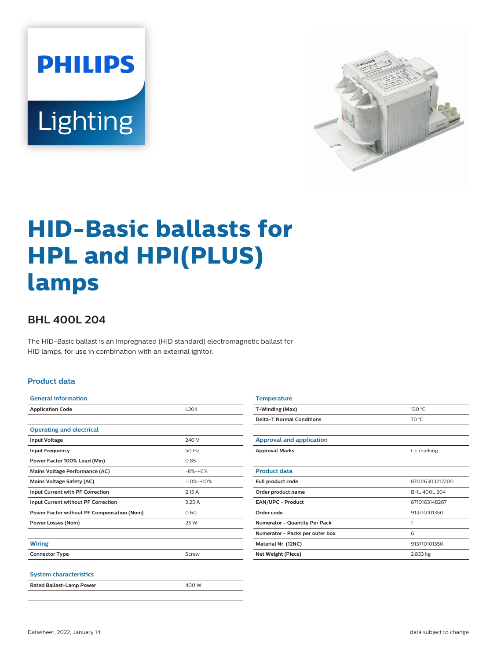



# **HID-Basic ballasts for HPL and HPI(PLUS) lamps**

## **BHL 400L 204**

The HID-Basic ballast is an impregnated (HID standard) electromagnetic ballast for HID lamps, for use in combination with an external ignitor.

#### **Product data**

| <b>L204</b> |  |  |
|-------------|--|--|
|             |  |  |
|             |  |  |
| 240 V       |  |  |
| 50 Hz       |  |  |
| 0.85        |  |  |
| $-8% -+6%$  |  |  |
| $-10% -10%$ |  |  |
| 2.15A       |  |  |
| 3.25 A      |  |  |
| 0.60        |  |  |
| 23 W        |  |  |
|             |  |  |
|             |  |  |
| Screw       |  |  |
|             |  |  |
|             |  |  |
| 400 W       |  |  |
|             |  |  |

| <b>Temperature</b>                   |                 |  |  |
|--------------------------------------|-----------------|--|--|
| T-Winding (Max)                      | 130 °C          |  |  |
| <b>Delta-T Normal Conditions</b>     | 70 °C           |  |  |
|                                      |                 |  |  |
| <b>Approval and application</b>      |                 |  |  |
| <b>Approval Marks</b>                | CE marking      |  |  |
|                                      |                 |  |  |
| <b>Product data</b>                  |                 |  |  |
| Full product code                    | 871016303212200 |  |  |
| Order product name                   | BHL 400L 204    |  |  |
| EAN/UPC - Product                    | 8710163148267   |  |  |
| Order code                           | 913710101350    |  |  |
| <b>Numerator - Quantity Per Pack</b> | 1               |  |  |
| Numerator - Packs per outer box      | 6               |  |  |
| Material Nr. (12NC)                  | 913710101350    |  |  |
| Net Weight (Piece)                   | 2.833 kg        |  |  |
|                                      |                 |  |  |